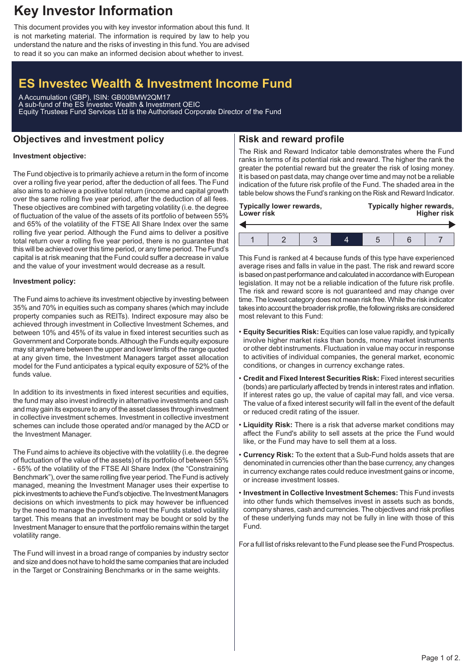# **Key Investor Information**

This document provides you with key investor information about this fund. It is not marketing material. The information is required by law to help you understand the nature and the risks of investing in this fund. You are advised to read it so you can make an informed decision about whether to invest.

# **ES Investec Wealth & Investment Income Fund**

A Accumulation (GBP), ISIN: GB00BMW2QM17 A sub-fund of the ES Investec Wealth & Investment OEIC Equity Trustees Fund Services Ltd is the Authorised Corporate Director of the Fund

## **Objectives and investment policy**

## **Risk and reward profile**

### **Investment objective:**

The Fund objective is to primarily achieve a return in the form of income over a rolling five year period, after the deduction of all fees. The Fund also aims to achieve a positive total return (income and capital growth over the same rolling five year period, after the deduction of all fees. These objectives are combined with targeting volatility (i.e. the degree of fluctuation of the value of the assets of its portfolio of between 55% and 65% of the volatility of the FTSE All Share Index over the same rolling five year period. Although the Fund aims to deliver a positive total return over a rolling five year period, there is no guarantee that this will be achieved over this time period, or any time period. The Fund's capital is at risk meaning that the Fund could suffer a decrease in value and the value of your investment would decrease as a result.

#### **Investment policy:**

The Fund aims to achieve its investment objective by investing between 35% and 70% in equities such as company shares (which may include property companies such as REITs). Indirect exposure may also be achieved through investment in Collective Investment Schemes, and between 10% and 45% of its value in fixed interest securities such as Government and Corporate bonds.Although the Funds equity exposure may sit anywhere between the upper and lower limits of the range quoted at any given time, the Investment Managers target asset allocation model for the Fund anticipates a typical equity exposure of 52% of the funds value.

In addition to its investments in fixed interest securities and equities, the fund may also invest indirectly in alternative investments and cash and may gain its exposure to any of the asset classes through investment in collective investment schemes. Investment in collective investment schemes can include those operated and/or managed by the ACD or the Investment Manager.

The Fund aims to achieve its objective with the volatility (i.e. the degree of fluctuation of the value of the assets) of its portfolio of between 55% - 65% of the volatility of the FTSE All Share Index (the "Constraining Benchmark"), over the same rolling five year period. The Fund is actively managed, meaning the Investment Manager uses their expertise to pick investments to achieve the Fund's objective. The Investment Managers decisions on which investments to pick may however be influenced by the need to manage the portfolio to meet the Funds stated volatility target. This means that an investment may be bought or sold by the Investment Manager to ensure that the portfolio remains within the target volatility range.

The Fund will invest in a broad range of companies by industry sector and size and does not have to hold the same companies that are included in the Target or Constraining Benchmarks or in the same weights.

The Risk and Reward Indicator table demonstrates where the Fund ranks in terms of its potential risk and reward. The higher the rank the greater the potential reward but the greater the risk of losing money. It is based on past data, may change over time and may not be a reliable indication of the future risk profile of the Fund. The shaded area in the table below shows the Fund's ranking on the Risk and Reward Indicator.

| Typically lower rewards, |  |  |  | Typically higher rewards, |  |  |  |
|--------------------------|--|--|--|---------------------------|--|--|--|
| Lower risk               |  |  |  | <b>Higher risk</b>        |  |  |  |
|                          |  |  |  |                           |  |  |  |

This Fund is ranked at 4 because funds of this type have experienced average rises and falls in value in the past. The risk and reward score is based on past performance and calculated in accordance with European legislation. It may not be a reliable indication of the future risk profile. The risk and reward score is not guaranteed and may change over time. The lowest category does not mean risk free.While the risk indicator takes into account the broader risk profile, the following risks are considered most relevant to this Fund:

- **Equity Securities Risk:** Equities can lose value rapidly, and typically involve higher market risks than bonds, money market instruments or other debt instruments. Fluctuation in value may occur in response to activities of individual companies, the general market, economic conditions, or changes in currency exchange rates.
- **Credit and Fixed Interest Securities Risk:** Fixed interest securities (bonds) are particularly affected by trends in interest rates and inflation. If interest rates go up, the value of capital may fall, and vice versa. The value of a fixed interest security will fall in the event of the default or reduced credit rating of the issuer.
- **Liquidity Risk:** There is a risk that adverse market conditions may affect the Fund's ability to sell assets at the price the Fund would like, or the Fund may have to sell them at a loss.
- **Currency Risk:** To the extent that a Sub-Fund holds assets that are denominated in currencies other than the base currency, any changes in currency exchange rates could reduce investment gains or income, or increase investment losses.
- **Investment in Collective Investment Schemes:** This Fund invests into other funds which themselves invest in assets such as bonds, company shares, cash and currencies. The objectives and risk profiles of these underlying funds may not be fully in line with those of this Fund.

For a full list of risks relevant to the Fund please see the Fund Prospectus.